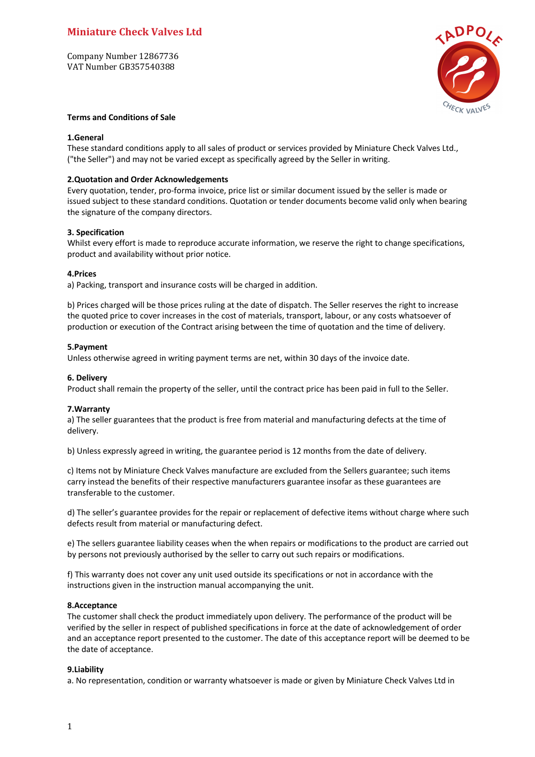# **Miniature Check Valves Ltd**

Company Number 12867736 VAT Number GB357540388



# **Terms and Conditions of Sale**

# **1.General**

These standard conditions apply to all sales of product or services provided by Miniature Check Valves Ltd., ("the Seller") and may not be varied except as specifically agreed by the Seller in writing.

# **2.Quotation and Order Acknowledgements**

Every quotation, tender, pro-forma invoice, price list or similar document issued by the seller is made or issued subject to these standard conditions. Quotation or tender documents become valid only when bearing the signature of the company directors.

## **3. Specification**

Whilst every effort is made to reproduce accurate information, we reserve the right to change specifications, product and availability without prior notice.

## **4.Prices**

a) Packing, transport and insurance costs will be charged in addition.

b) Prices charged will be those prices ruling at the date of dispatch. The Seller reserves the right to increase the quoted price to cover increases in the cost of materials, transport, labour, or any costs whatsoever of production or execution of the Contract arising between the time of quotation and the time of delivery.

## **5.Payment**

Unless otherwise agreed in writing payment terms are net, within 30 days of the invoice date.

## **6. Delivery**

Product shall remain the property of the seller, until the contract price has been paid in full to the Seller.

# **7.Warranty**

a) The seller guarantees that the product is free from material and manufacturing defects at the time of delivery.

b) Unless expressly agreed in writing, the guarantee period is 12 months from the date of delivery.

c) Items not by Miniature Check Valves manufacture are excluded from the Sellers guarantee; such items carry instead the benefits of their respective manufacturers guarantee insofar as these guarantees are transferable to the customer.

d) The seller's guarantee provides for the repair or replacement of defective items without charge where such defects result from material or manufacturing defect.

e) The sellers guarantee liability ceases when the when repairs or modifications to the product are carried out by persons not previously authorised by the seller to carry out such repairs or modifications.

f) This warranty does not cover any unit used outside its specifications or not in accordance with the instructions given in the instruction manual accompanying the unit.

#### **8.Acceptance**

The customer shall check the product immediately upon delivery. The performance of the product will be verified by the seller in respect of published specifications in force at the date of acknowledgement of order and an acceptance report presented to the customer. The date of this acceptance report will be deemed to be the date of acceptance.

# **9.Liability**

a. No representation, condition or warranty whatsoever is made or given by Miniature Check Valves Ltd in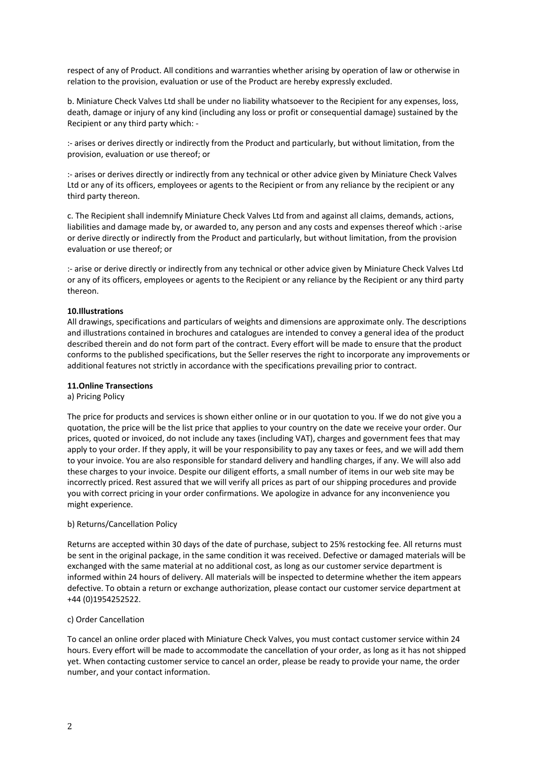respect of any of Product. All conditions and warranties whether arising by operation of law or otherwise in relation to the provision, evaluation or use of the Product are hereby expressly excluded.

b. Miniature Check Valves Ltd shall be under no liability whatsoever to the Recipient for any expenses, loss, death, damage or injury of any kind (including any loss or profit or consequential damage) sustained by the Recipient or any third party which: -

:- arises or derives directly or indirectly from the Product and particularly, but without limitation, from the provision, evaluation or use thereof; or

:- arises or derives directly or indirectly from any technical or other advice given by Miniature Check Valves Ltd or any of its officers, employees or agents to the Recipient or from any reliance by the recipient or any third party thereon.

c. The Recipient shall indemnify Miniature Check Valves Ltd from and against all claims, demands, actions, liabilities and damage made by, or awarded to, any person and any costs and expenses thereof which :-arise or derive directly or indirectly from the Product and particularly, but without limitation, from the provision evaluation or use thereof; or

:- arise or derive directly or indirectly from any technical or other advice given by Miniature Check Valves Ltd or any of its officers, employees or agents to the Recipient or any reliance by the Recipient or any third party thereon.

## **10.Illustrations**

All drawings, specifications and particulars of weights and dimensions are approximate only. The descriptions and illustrations contained in brochures and catalogues are intended to convey a general idea of the product described therein and do not form part of the contract. Every effort will be made to ensure that the product conforms to the published specifications, but the Seller reserves the right to incorporate any improvements or additional features not strictly in accordance with the specifications prevailing prior to contract.

#### **11.Online Transections**

# a) Pricing Policy

The price for products and services is shown either online or in our quotation to you. If we do not give you a quotation, the price will be the list price that applies to your country on the date we receive your order. Our prices, quoted or invoiced, do not include any taxes (including VAT), charges and government fees that may apply to your order. If they apply, it will be your responsibility to pay any taxes or fees, and we will add them to your invoice. You are also responsible for standard delivery and handling charges, if any. We will also add these charges to your invoice. Despite our diligent efforts, a small number of items in our web site may be incorrectly priced. Rest assured that we will verify all prices as part of our shipping procedures and provide you with correct pricing in your order confirmations. We apologize in advance for any inconvenience you might experience.

# b) Returns/Cancellation Policy

Returns are accepted within 30 days of the date of purchase, subject to 25% restocking fee. All returns must be sent in the original package, in the same condition it was received. Defective or damaged materials will be exchanged with the same material at no additional cost, as long as our customer service department is informed within 24 hours of delivery. All materials will be inspected to determine whether the item appears defective. To obtain a return or exchange authorization, please contact our customer service department at +44 (0)1954252522.

#### c) Order Cancellation

To cancel an online order placed with Miniature Check Valves, you must contact customer service within 24 hours. Every effort will be made to accommodate the cancellation of your order, as long as it has not shipped yet. When contacting customer service to cancel an order, please be ready to provide your name, the order number, and your contact information.